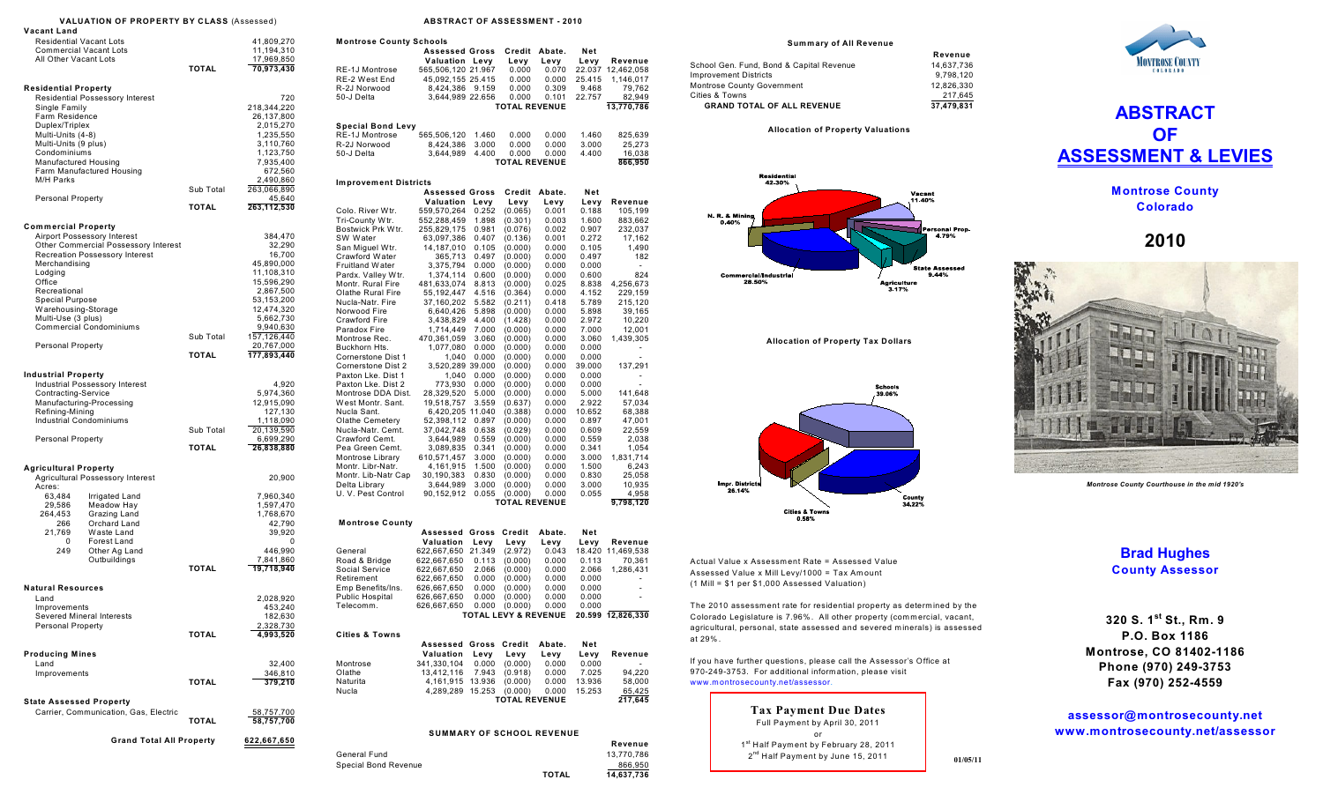|                                                                                                                      | <b>VALUATION OF PROPERTY BY CLASS (Assessed)</b>                  |                           |                                                                                                   |  |
|----------------------------------------------------------------------------------------------------------------------|-------------------------------------------------------------------|---------------------------|---------------------------------------------------------------------------------------------------|--|
| Vacant Land                                                                                                          |                                                                   |                           |                                                                                                   |  |
| <b>Residential Vacant Lots</b>                                                                                       |                                                                   |                           | 41,809,270                                                                                        |  |
| <b>Commercial Vacant Lots</b><br>All Other Vacant Lots                                                               |                                                                   |                           | 11,194,310                                                                                        |  |
|                                                                                                                      |                                                                   | TOTAL                     | 17,969,850<br>70,973,430                                                                          |  |
|                                                                                                                      |                                                                   |                           |                                                                                                   |  |
| <b>Residential Property</b>                                                                                          |                                                                   |                           |                                                                                                   |  |
|                                                                                                                      | <b>Residential Possessory Interest</b>                            |                           | 720                                                                                               |  |
| Single Family                                                                                                        |                                                                   |                           | 218,344,220                                                                                       |  |
| Farm Residence                                                                                                       |                                                                   |                           | 26,137,800                                                                                        |  |
| Duplex/Triplex                                                                                                       |                                                                   |                           | 2,015,270                                                                                         |  |
| Multi-Units (4-8)<br>Multi-Units (9 plus)                                                                            |                                                                   |                           | 1,235,550                                                                                         |  |
| Condominiums                                                                                                         |                                                                   |                           | 3,110,760<br>1,123,750                                                                            |  |
| Manufactured Housing                                                                                                 |                                                                   |                           | 7,935,400                                                                                         |  |
|                                                                                                                      | Farm Manufactured Housing                                         |                           | 672,560                                                                                           |  |
| M/H Parks                                                                                                            |                                                                   |                           | 2,490,860                                                                                         |  |
|                                                                                                                      |                                                                   | Sub Total                 | 263,066,890                                                                                       |  |
| <b>Personal Property</b>                                                                                             |                                                                   |                           | 45,640                                                                                            |  |
|                                                                                                                      |                                                                   | <b>TOTAL</b>              | 263,112,530                                                                                       |  |
| <b>Commercial Property</b>                                                                                           |                                                                   |                           |                                                                                                   |  |
|                                                                                                                      | Airport Possessory Interest                                       |                           | 384,470                                                                                           |  |
|                                                                                                                      | Other Commercial Possessory Interest                              |                           | 32,290                                                                                            |  |
|                                                                                                                      | Recreation Possessory Interest                                    |                           | 16,700                                                                                            |  |
| Merchandising                                                                                                        |                                                                   |                           | 45,890,000                                                                                        |  |
| Lodging                                                                                                              |                                                                   |                           | 11,108,310                                                                                        |  |
| Office                                                                                                               |                                                                   |                           | 15,596,290                                                                                        |  |
| Recreational                                                                                                         |                                                                   |                           | 2,867,500                                                                                         |  |
| <b>Special Purpose</b>                                                                                               |                                                                   |                           | 53,153,200                                                                                        |  |
| Warehousing-Storage<br>Multi-Use (3 plus)                                                                            |                                                                   |                           | 12,474,320<br>5,662,730                                                                           |  |
|                                                                                                                      | <b>Commercial Condominiums</b>                                    |                           | 9,940,630                                                                                         |  |
|                                                                                                                      |                                                                   | Sub Total                 | 157,126,440                                                                                       |  |
| Personal Property                                                                                                    |                                                                   |                           | 20,767,000                                                                                        |  |
|                                                                                                                      |                                                                   | <b>TOTAL</b>              | 177,893,440                                                                                       |  |
| <b>Industrial Property</b><br>Contracting-Service<br>Refining-Mining<br>Industrial Condominiums<br>Personal Property | <b>Industrial Possessory Interest</b><br>Manufacturing-Processing | Sub Total<br><b>TOTAL</b> | 4,920<br>5,974,360<br>12,915,090<br>127,130<br>1,118,090<br>20,139,590<br>6,699,290<br>26,838,880 |  |
| <b>Agricultural Property</b>                                                                                         | Agricultural Possessory Interest                                  |                           | 20,900                                                                                            |  |
| Acres:                                                                                                               |                                                                   |                           |                                                                                                   |  |
| 63,484                                                                                                               | Irrigated Land                                                    |                           | 7,960,340                                                                                         |  |
| 29,586                                                                                                               | Meadow Hay                                                        |                           | 1,597,470                                                                                         |  |
| 264,453                                                                                                              | Grazing Land                                                      |                           | 1,768,670                                                                                         |  |
| 266                                                                                                                  | Orchard Land                                                      |                           | 42,790                                                                                            |  |
| 21,769<br>0                                                                                                          | Waste Land<br>Forest Land                                         |                           | 39,920<br>0                                                                                       |  |
| 249                                                                                                                  | Other Ag Land                                                     |                           | 446,990                                                                                           |  |
|                                                                                                                      | Outbuildings                                                      |                           | 7,841,860                                                                                         |  |
|                                                                                                                      |                                                                   | <b>TOTAL</b>              | 19,718,940                                                                                        |  |
|                                                                                                                      |                                                                   |                           |                                                                                                   |  |
| <b>Natural Resources</b><br>Land                                                                                     |                                                                   |                           | 2,028,920                                                                                         |  |
| Improvements                                                                                                         |                                                                   |                           | 453,240                                                                                           |  |
| Severed Mineral Interests                                                                                            |                                                                   |                           | 182,630                                                                                           |  |
| Personal Property                                                                                                    |                                                                   |                           | 2,328,730                                                                                         |  |
|                                                                                                                      |                                                                   | TOTAL                     | 4,993,520                                                                                         |  |
|                                                                                                                      |                                                                   |                           |                                                                                                   |  |
| <b>Producing Mines</b><br>Land                                                                                       |                                                                   |                           | 32,400                                                                                            |  |
| Improvements                                                                                                         |                                                                   |                           | 346,810                                                                                           |  |
|                                                                                                                      |                                                                   | TOTAL                     | 379,210                                                                                           |  |
|                                                                                                                      |                                                                   |                           |                                                                                                   |  |
| <b>State Assessed Property</b>                                                                                       |                                                                   |                           |                                                                                                   |  |
|                                                                                                                      | Carrier, Communication, Gas, Electric                             | <b>TOTAL</b>              | 58,757,700<br>58,757,700                                                                          |  |
|                                                                                                                      |                                                                   |                           |                                                                                                   |  |
|                                                                                                                      | <b>Grand Total All Property</b>                                   |                           | 622,667,650                                                                                       |  |
|                                                                                                                      |                                                                   |                           |                                                                                                   |  |
|                                                                                                                      |                                                                   |                           |                                                                                                   |  |

## **ABSTRACT OF ASSESSMENT - 2010**

| Montrose County Schools             |                                  |                |                                 |                |                |                    |
|-------------------------------------|----------------------------------|----------------|---------------------------------|----------------|----------------|--------------------|
|                                     | <b>Assessed Gross</b>            |                | Credit                          | Abate.         | Net            |                    |
|                                     | Valuation                        | Levy           | Levy                            | Levy           | Levy           | Revenue            |
| RE-1J Montrose                      | 565,506,120 21.967               |                | 0.000                           | 0.070          | 22.037         | 12,462,058         |
| RE-2 West End                       | 45,092,155 25.415                |                | 0.000                           | 0.000          | 25.415         | 1,146,017          |
| R-2J Norwood                        | 8,424,386                        | 9.159          | 0.000                           | 0.309          | 9.468          | 79,762             |
| 50-J Delta                          | 3,644,989 22.656                 |                | 0.000                           | 0.101          | 22.757         | 82,949             |
|                                     |                                  |                | <b>TOTAL REVENUE</b>            |                |                | 13,770,786         |
|                                     |                                  |                |                                 |                |                |                    |
| Special Bond Levy                   |                                  |                |                                 |                |                |                    |
| RE-1J Montrose                      | 565,506,120                      | 1.460          | 0.000                           | 0.000          | 1.460          | 825,639            |
| R-2J Norwood                        | 8,424,386                        | 3.000          | 0.000                           | 0.000          | 3.000          | 25,273             |
| 50-J Delta                          | 3,644,989                        | 4.400          | 0.000<br><b>TOTAL REVENUE</b>   | 0.000          | 4.400          | 16,038<br>866,950  |
|                                     |                                  |                |                                 |                |                |                    |
|                                     |                                  |                |                                 |                |                |                    |
| <b>Improvement Districts</b>        |                                  |                |                                 |                |                |                    |
|                                     | <b>Assessed Gross</b>            |                | Credit                          | Abate.         | Net            |                    |
|                                     | Valuation                        | Levy<br>0.252  | Levy<br>(0.065)                 | Levy<br>0.001  | Levy<br>0.188  | Revenue            |
| Colo. River Wtr.<br>Tri-County Wtr. | 559,570,264<br>552,288,459       | 1.898          | (0.301)                         | 0.003          | 1.600          | 105,199<br>883,662 |
| Bostwick Prk Wtr.                   | 255,829,175                      | 0.981          | (0.076)                         | 0.002          | 0.907          | 232,037            |
| SW Water                            | 63,097,386                       | 0.407          | (0.136)                         | 0.001          | 0.272          | 17,162             |
| San Miguel Wtr.                     | 14,187,010                       | 0.105          | (0.000)                         | 0.000          | 0.105          | 1,490              |
| Crawford Water                      | 365,713                          | 0.497          | (0.000)                         | 0.000          | 0.497          | 182                |
| Fruitland Water                     | 3,375,794                        | 0.000          | (0.000)                         | 0.000          | 0.000          |                    |
| Pardx. Valley Wtr.                  | 1,374,114                        | 0.600          | (0.000)                         | 0.000          | 0.600          | 824                |
| Montr. Rural Fire                   | 481,633,074                      | 8.813          | (0.000)                         | 0.025          | 8.838          | 4,256,673          |
| Olathe Rural Fire                   | 55,192,447                       | 4.516          | (0.364)                         | 0.000          | 4.152          | 229,159            |
| Nucla-Natr. Fire                    | 37,160,202                       | 5.582          | (0.211)                         | 0.418          | 5.789          | 215,120            |
| Norwood Fire                        | 6,640,426                        | 5.898          | (0.000)                         | 0.000          | 5.898          | 39,165             |
| Crawford Fire                       | 3,438,829                        | 4.400          | (1.428)                         | 0.000          | 2.972          | 10,220             |
| Paradox Fire                        | 1,714,449                        | 7.000          | (0.000)                         | 0.000          | 7.000          | 12,001             |
| Montrose Rec.                       | 470,361,059                      | 3.060          | (0.000)                         | 0.000          | 3.060          | 1,439,305          |
| Buckhorn Hts.                       | 1,077,080                        | 0.000          | (0.000)                         | 0.000          | 0.000          |                    |
| Cornerstone Dist 1                  | 1,040                            | 0.000          | (0.000)                         | 0.000          | 0.000          |                    |
| Cornerstone Dist 2                  | 3,520,289 39.000                 |                | (0.000)                         | 0.000          | 39.000         | 137,291            |
| Paxton Lke. Dist 1                  | 1,040                            | 0.000          | (0.000)                         | 0.000          | 0.000          |                    |
| Paxton Lke, Dist 2                  | 773,930                          | 0.000          | (0.000)                         | 0.000          | 0.000          |                    |
| Montrose DDA Dist.                  | 28,329,520                       | 5.000          | (0.000)                         | 0.000          | 5.000          | 141,648            |
| West Montr. Sant.                   | 19,518,757                       | 3.559          | (0.637)                         | 0.000          | 2.922          | 57,034             |
| Nucla Sant.                         | 6,420,205 11.040                 |                | (0.388)                         | 0.000          | 10.652         | 68,388             |
| <b>Olathe Cemetery</b>              | 52,398,112                       | 0.897          | (0.000)                         | 0.000          | 0.897          | 47,001             |
| Nucla-Natr. Cemt.                   | 37,042,748                       | 0.638          | (0.029)                         | 0.000          | 0.609          | 22,559             |
| Crawford Cemt.<br>Pea Green Cemt.   | 3,644,989<br>3,089,835           | 0.559<br>0.341 | (0.000)                         | 0.000<br>0.000 | 0.559<br>0.341 | 2,038<br>1,054     |
| Montrose Library                    | 610,571,457                      | 3.000          | (0.000)<br>(0.000)              | 0.000          | 3.000          | 1,831,714          |
| Montr. Libr-Natr.                   | 4,161,915                        | 1.500          | (0.000)                         | 0.000          | 1.500          | 6,243              |
| Montr. Lib-Natr Cap                 | 30,190,383                       | 0.830          | (0.000)                         | 0.000          | 0.830          | 25,058             |
| Delta Library                       | 3,644,989                        | 3.000          | (0.000)                         | 0.000          | 3.000          | 10,935             |
| U. V. Pest Control                  | 90,152,912                       | 0.055          | (0.000)                         | 0.000          | 0.055          | 4,958              |
|                                     |                                  |                | <b>TOTAL REVENUE</b>            |                |                | 9,798,120          |
|                                     |                                  |                |                                 |                |                |                    |
| <b>Montrose County</b>              |                                  |                |                                 |                |                |                    |
|                                     | Assessed                         | Gross          | Credit                          | Abate.         | Net            |                    |
|                                     | Valuation                        | Levy           | Levy                            | Levy           | Levy           | Revenue            |
| General                             | 622,667,650                      | 21.349         | (2.972)                         | 0.043          |                | 18.420 11,469,538  |
| Road & Bridge                       | 622,667,650                      | 0.113          | (0.000)                         | 0.000          | 0.113          | 70,361             |
| Social Service                      | 622,667,650                      | 2.066          | (0.000)                         | 0.000          | 2.066          | 1,286,431          |
| Retirement                          | 622,667,650                      | 0.000          | (0.000)                         | 0.000          | 0.000          |                    |
| Emp Benefits/Ins.                   | 626,667,650                      | 0.000          | (0.000)                         | 0.000          | 0.000          |                    |
| Public Hospital                     | 626,667,650                      | 0.000          | (0.000)                         | 0.000          | 0.000          |                    |
| Telecomm.                           | 626,667,650                      | 0.000          | (0.000)                         | 0.000          | 0.000          |                    |
|                                     |                                  |                | <b>TOTAL LEVY &amp; REVENUE</b> |                |                | 20.599 12,826,330  |
|                                     |                                  |                |                                 |                |                |                    |
| <b>Cities &amp; Towns</b>           |                                  |                |                                 |                |                |                    |
|                                     | <b>Assessed Gross</b>            |                | Credit                          | Abate.         | Net            |                    |
|                                     | Valuation                        | Levy           | Levy                            | Levy           | Levy           | Revenue            |
| Montrose                            | 341,330,104                      | 0.000          | (0.000)                         | 0.000          | 0.000          | ٠                  |
| Olathe                              | 13,412,116                       | 7.943          | (0.918)                         | 0.000          | 7.025          | 94,220             |
| Naturita                            | 4,161,915                        | 13.936         | (0.000)                         | 0.000          | 13.936         | 58,000             |
| Nucla                               | 4,289,289                        | 15.253         | (0.000)                         | 0.000          | 15.253         | 65,425             |
|                                     |                                  |                | <b>TOTAL REVENUE</b>            |                |                | 217,645            |
|                                     |                                  |                |                                 |                |                |                    |
|                                     |                                  |                |                                 |                |                |                    |
|                                     | <b>SUMMARY OF SCHOOL REVENUE</b> |                |                                 |                |                |                    |
|                                     |                                  |                |                                 |                |                |                    |
|                                     |                                  |                |                                 |                |                | Revenue            |
| General Fund                        |                                  |                |                                 |                |                | 13,770,786         |

Special Bond Revenue<br>
TOTAL
14.637.736<br>
TOTAL
14.637.736

**TOTAL 14,637,736**

**Sum m ary of All Revenue**

|                                          | Revenue    |
|------------------------------------------|------------|
| School Gen. Fund, Bond & Capital Revenue | 14.637.736 |
| <b>Improvement Districts</b>             | 9.798.120  |
| <b>Montrose County Government</b>        | 12.826.330 |
| Cities & Towns                           | 217.645    |
| <b>GRAND TOTAL OF ALL REVENUE</b>        | 37.479.831 |

**Allocation of Property Valuations** 



**Allocation of Property Tax Dollars** 



Actual Value x Assessment Rate = Assessed Value Assessed Value x Mill Levy/1000 = Tax Amount (1 Mill = \$1 per \$1,000 Assessed Valuation)

The 2010 assessm ent rate for residential property as determ ined by the Colorado Legislature is 7.96%. All other property (commercial, vacant, agricultural, personal, state assessed and severed minerals) is assessed at 29% .

If you have further questions, please call the Assessor's Office at 970-249-3753. For additional inform ation, please visit www.m ontrosecounty.net/assessor.

> **Tax Payment Due Dates** Full Paym ent by April 30, 2011 or 1<sup>st</sup> Half Payment by February 28, 2011  $2<sup>nd</sup>$  Half Payment by June 15, 2011





**Montrose County Colorado**

**2010**



*Montrose County Courthouse in the mid 1920's*

## **Brad Hughes County Assessor**

**320 S. 1 St., Rm. 9 st P.O. Box 1186 Montrose, CO 81402-1186 Phone (970) 249-3753 Fax (970) 252-4559**

**assessor@montrosecounty.net www.montrosecounty.net/assessor**

**01/05/11**